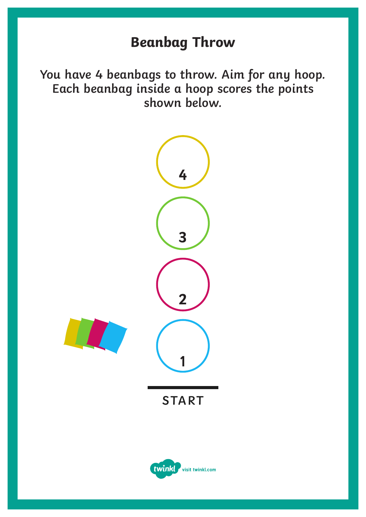### **Beanbag Throw**

**You have 4 beanbags to throw. Aim for any hoop. Each beanbag inside a hoop scores the points shown below.**

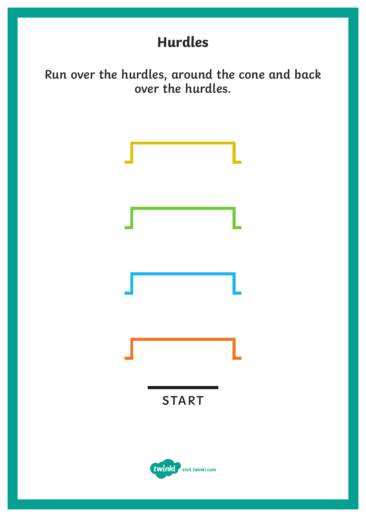# **Hurdles**

**Run over the hurdles, around the cone and back over the hurdles.**

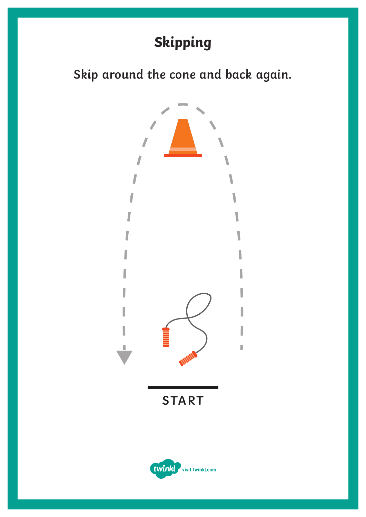# **Skipping**

**Skip around the cone and back again.**

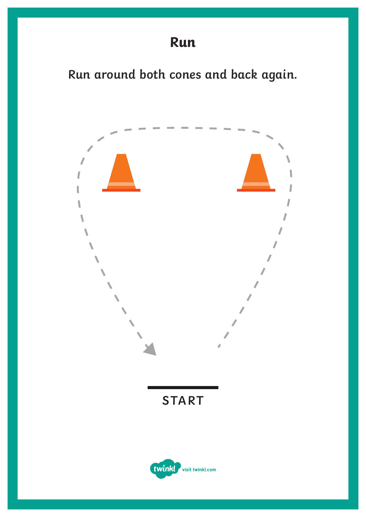**Run around both cones and back again.**

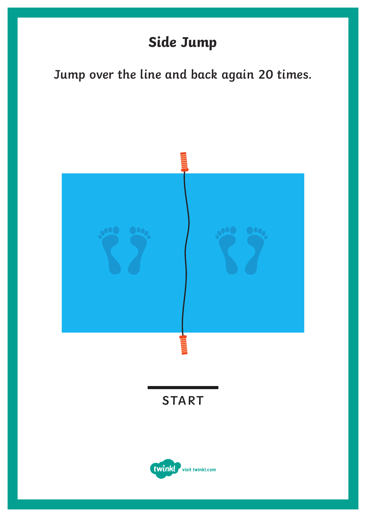# **Side Jump**

### **Jump over the line and back again 20 times.**

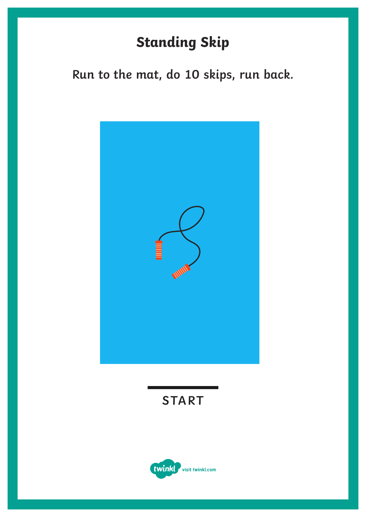# **Standing Skip**

**Run to the mat, do 10 skips, run back.**



**START**

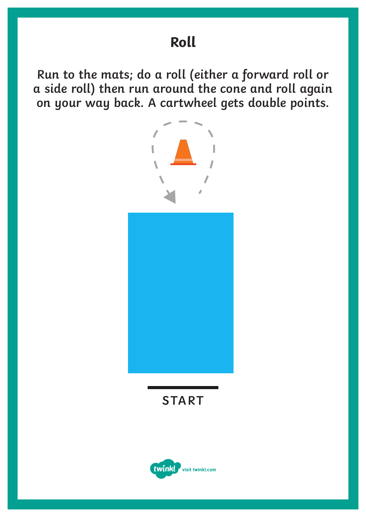**Run to the mats; do a roll (either a forward roll or a side roll) then run around the cone and roll again on your way back. A cartwheel gets double points.**



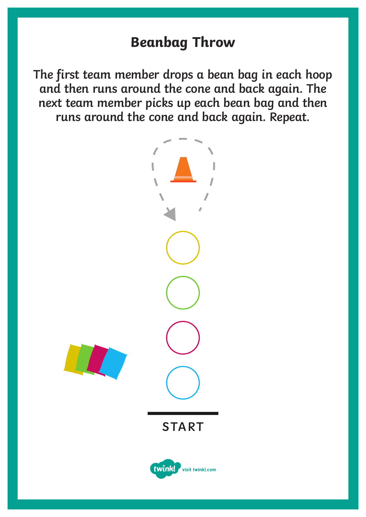#### **Beanbag Throw**

**The first team member drops a bean bag in each hoop and then runs around the cone and back again. The next team member picks up each bean bag and then runs around the cone and back again. Repeat.**

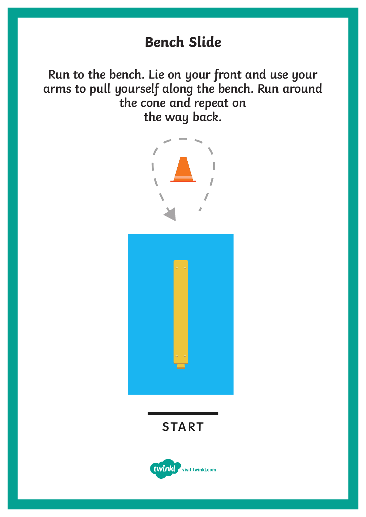### **Bench Slide**

**Run to the bench. Lie on your front and use your arms to pull yourself along the bench. Run around the cone and repeat on the way back.**





**START**

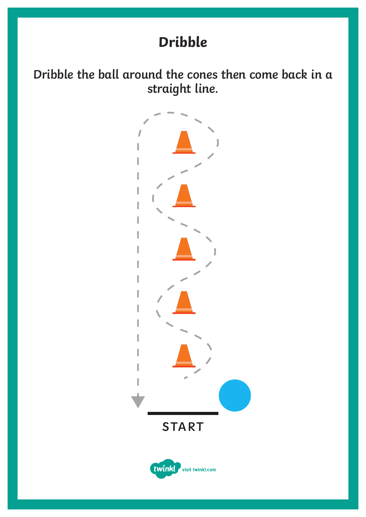## **Dribble**

**Dribble the ball around the cones then come back in a straight line.**

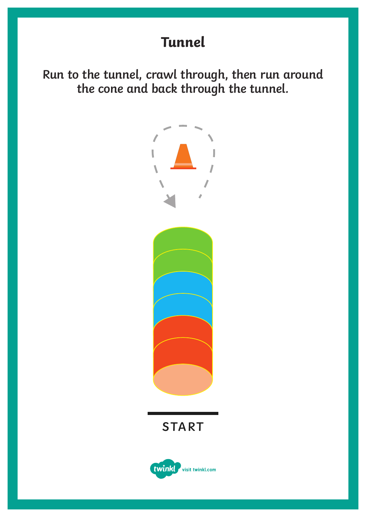**Tunnel**

**Run to the tunnel, crawl through, then run around the cone and back through the tunnel.**



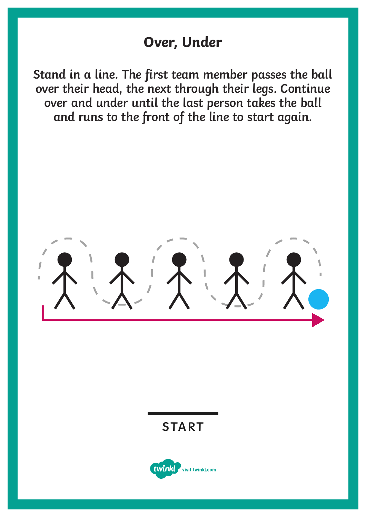#### **Over, Under**

**Stand in a line. The first team member passes the ball over their head, the next through their legs. Continue over and under until the last person takes the ball and runs to the front of the line to start again.**

#### **START**

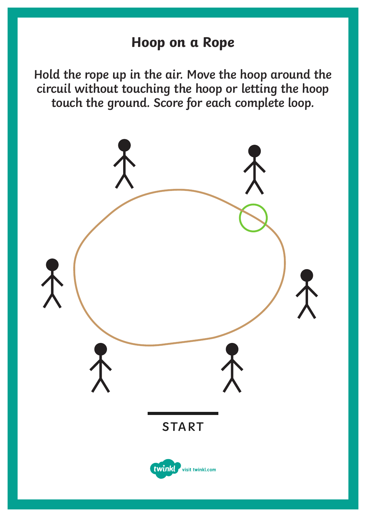#### **Hoop on a Rope**

**Hold the rope up in the air. Move the hoop around the circuil without touching the hoop or letting the hoop touch the ground. Score for each complete loop.**

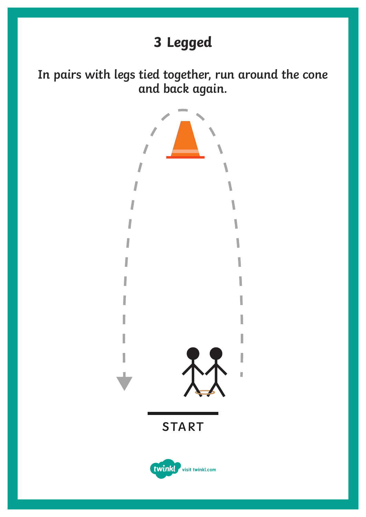# **3 Legged**

**In pairs with legs tied together, run around the cone and back again.**

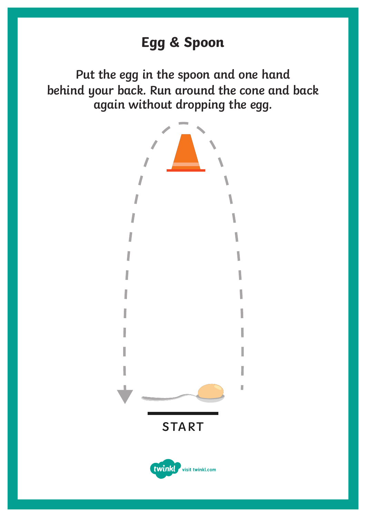**Put the egg in the spoon and one hand behind your back. Run around the cone and back again without dropping the egg.**

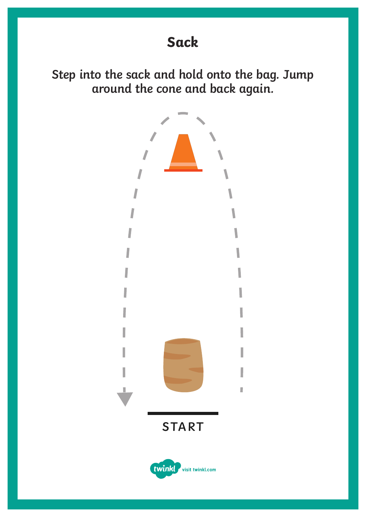**Step into the sack and hold onto the bag. Jump around the cone and back again.**

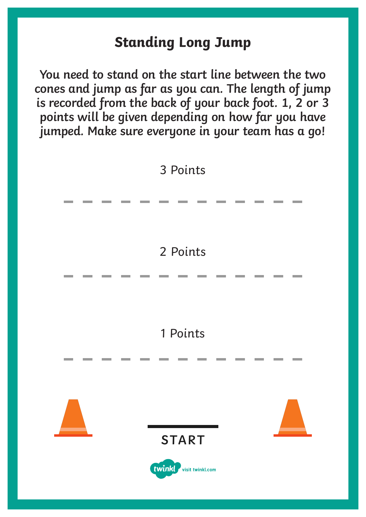### **Standing Long Jump**

**You need to stand on the start line between the two cones and jump as far as you can. The length of jump is recorded from the back of your back foot. 1, 2 or 3 points will be given depending on how far you have jumped. Make sure everyone in your team has a go!**

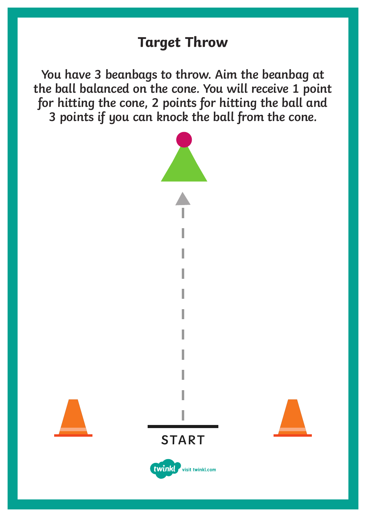### **Target Throw**

**You have 3 beanbags to throw. Aim the beanbag at the ball balanced on the cone. You will receive 1 point for hitting the cone, 2 points for hitting the ball and 3 points if you can knock the ball from the cone.**







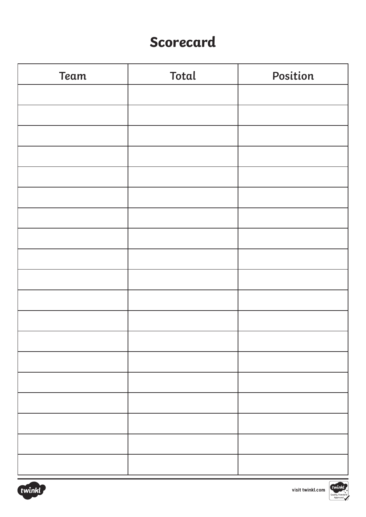### **Scorecard**

| <b>Team</b> | <b>Total</b> | Position |  |  |  |  |
|-------------|--------------|----------|--|--|--|--|
|             |              |          |  |  |  |  |
|             |              |          |  |  |  |  |
|             |              |          |  |  |  |  |
|             |              |          |  |  |  |  |
|             |              |          |  |  |  |  |
|             |              |          |  |  |  |  |
|             |              |          |  |  |  |  |
|             |              |          |  |  |  |  |
|             |              |          |  |  |  |  |
|             |              |          |  |  |  |  |
|             |              |          |  |  |  |  |
|             |              |          |  |  |  |  |
|             |              |          |  |  |  |  |
|             |              |          |  |  |  |  |
|             |              |          |  |  |  |  |
|             |              |          |  |  |  |  |
|             |              |          |  |  |  |  |
|             |              |          |  |  |  |  |
|             |              |          |  |  |  |  |